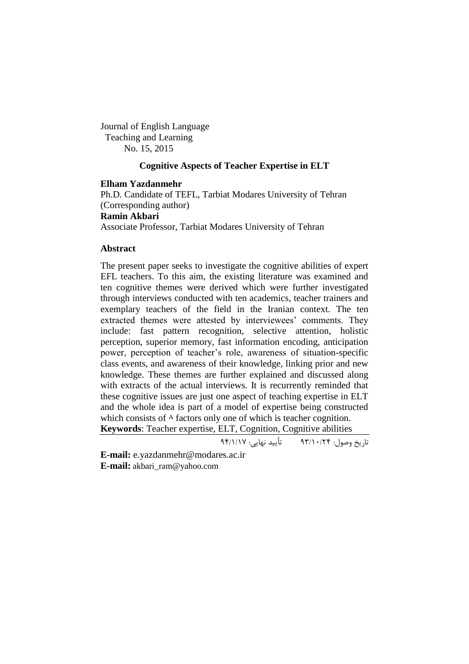Journal of English Language Teaching and Learning No. 15, 2015

# **Cognitive Aspects of Teacher Expertise in ELT**

### **Elham Yazdanmehr**

Ph.D. Candidate of TEFL, Tarbiat Modares University of Tehran (Corresponding author) **Ramin Akbari** Associate Professor, Tarbiat Modares University of Tehran

### **Abstract**

The present paper seeks to investigate the cognitive abilities of expert EFL teachers. To this aim, the existing literature was examined and ten cognitive themes were derived which were further investigated through interviews conducted with ten academics, teacher trainers and exemplary teachers of the field in the Iranian context. The ten extracted themes were attested by interviewees' comments. They include: fast pattern recognition, selective attention, holistic perception, superior memory, fast information encoding, anticipation power, perception of teacher"s role, awareness of situation-specific class events, and awareness of their knowledge, linking prior and new knowledge. These themes are further explained and discussed along with extracts of the actual interviews. It is recurrently reminded that these cognitive issues are just one aspect of teaching expertise in ELT and the whole idea is part of a model of expertise being constructed which consists of  $\wedge$  factors only one of which is teacher cognition.

**Keywords**: Teacher expertise, ELT, Cognition, Cognitive abilities

تاریخ وصول: 39/01/42 تأیید نهایی: 32/0/01

**E-mail:** [e.yazdanmehr@modares.ac.ir](mailto:e.yazdanmehr@modares.ac.ir) **E-mail:** [akbari\\_ram@yahoo.com](mailto:akbari_ram@yahoo.com)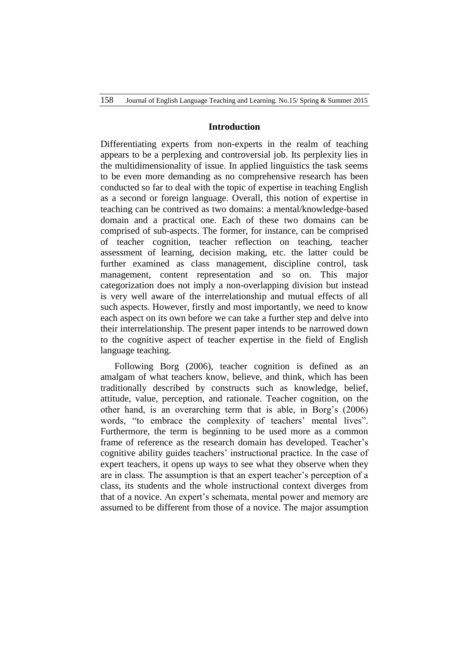### **Introduction**

Differentiating experts from non-experts in the realm of teaching appears to be a perplexing and controversial job. Its perplexity lies in the multidimensionality of issue. In applied linguistics the task seems to be even more demanding as no comprehensive research has been conducted so far to deal with the topic of expertise in teaching English as a second or foreign language. Overall, this notion of expertise in teaching can be contrived as two domains: a mental/knowledge-based domain and a practical one. Each of these two domains can be comprised of sub-aspects. The former, for instance, can be comprised of teacher cognition, teacher reflection on teaching, teacher assessment of learning, decision making, etc. the latter could be further examined as class management, discipline control, task management, content representation and so on. This major categorization does not imply a non-overlapping division but instead is very well aware of the interrelationship and mutual effects of all such aspects. However, firstly and most importantly, we need to know each aspect on its own before we can take a further step and delve into their interrelationship. The present paper intends to be narrowed down to the cognitive aspect of teacher expertise in the field of English language teaching.

Following Borg (2006), teacher cognition is defined as an amalgam of what teachers know, believe, and think, which has been traditionally described by constructs such as knowledge, belief, attitude, value, perception, and rationale. Teacher cognition, on the other hand, is an overarching term that is able, in Borg"s (2006) words, "to embrace the complexity of teachers' mental lives". Furthermore, the term is beginning to be used more as a common frame of reference as the research domain has developed. Teacher's cognitive ability guides teachers" instructional practice. In the case of expert teachers, it opens up ways to see what they observe when they are in class. The assumption is that an expert teacher"s perception of a class, its students and the whole instructional context diverges from that of a novice. An expert's schemata, mental power and memory are assumed to be different from those of a novice. The major assumption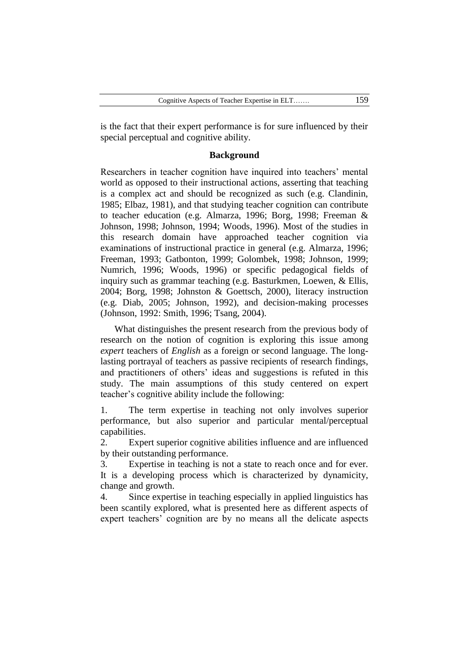is the fact that their expert performance is for sure influenced by their special perceptual and cognitive ability.

#### **Background**

Researchers in teacher cognition have inquired into teachers' mental world as opposed to their instructional actions, asserting that teaching is a complex act and should be recognized as such (e.g. Clandinin, 1985; Elbaz, 1981), and that studying teacher cognition can contribute to teacher education (e.g. Almarza, 1996; Borg, 1998; Freeman & Johnson, 1998; Johnson, 1994; Woods, 1996). Most of the studies in this research domain have approached teacher cognition via examinations of instructional practice in general (e.g. Almarza, 1996; Freeman, 1993; Gatbonton, 1999; Golombek, 1998; Johnson, 1999; Numrich, 1996; Woods, 1996) or specific pedagogical fields of inquiry such as grammar teaching (e.g. Basturkmen, Loewen, & Ellis, 2004; Borg, 1998; Johnston & Goettsch, 2000), literacy instruction (e.g. Diab, 2005; Johnson, 1992), and decision-making processes (Johnson, 1992: Smith, 1996; Tsang, 2004).

What distinguishes the present research from the previous body of research on the notion of cognition is exploring this issue among *expert* teachers of *English* as a foreign or second language. The longlasting portrayal of teachers as passive recipients of research findings, and practitioners of others' ideas and suggestions is refuted in this study. The main assumptions of this study centered on expert teacher"s cognitive ability include the following:

1. The term expertise in teaching not only involves superior performance, but also superior and particular mental/perceptual capabilities.

2. Expert superior cognitive abilities influence and are influenced by their outstanding performance.

3. Expertise in teaching is not a state to reach once and for ever. It is a developing process which is characterized by dynamicity, change and growth.

4. Since expertise in teaching especially in applied linguistics has been scantily explored, what is presented here as different aspects of expert teachers" cognition are by no means all the delicate aspects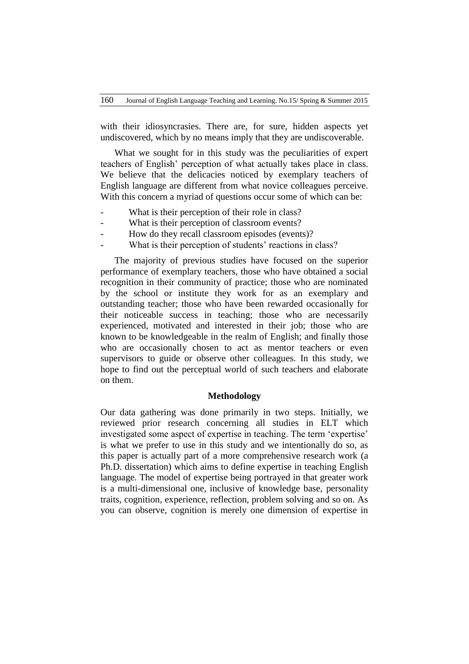with their idiosyncrasies. There are, for sure, hidden aspects yet undiscovered, which by no means imply that they are undiscoverable.

What we sought for in this study was the peculiarities of expert teachers of English" perception of what actually takes place in class. We believe that the delicacies noticed by exemplary teachers of English language are different from what novice colleagues perceive. With this concern a myriad of questions occur some of which can be:

- What is their perception of their role in class?
- What is their perception of classroom events?
- How do they recall classroom episodes (events)?
- What is their perception of students' reactions in class?

The majority of previous studies have focused on the superior performance of exemplary teachers, those who have obtained a social recognition in their community of practice; those who are nominated by the school or institute they work for as an exemplary and outstanding teacher; those who have been rewarded occasionally for their noticeable success in teaching; those who are necessarily experienced, motivated and interested in their job; those who are known to be knowledgeable in the realm of English; and finally those who are occasionally chosen to act as mentor teachers or even supervisors to guide or observe other colleagues. In this study, we hope to find out the perceptual world of such teachers and elaborate on them.

#### **Methodology**

Our data gathering was done primarily in two steps. Initially, we reviewed prior research concerning all studies in ELT which investigated some aspect of expertise in teaching. The term "expertise" is what we prefer to use in this study and we intentionally do so, as this paper is actually part of a more comprehensive research work (a Ph.D. dissertation) which aims to define expertise in teaching English language. The model of expertise being portrayed in that greater work is a multi-dimensional one, inclusive of knowledge base, personality traits, cognition, experience, reflection, problem solving and so on. As you can observe, cognition is merely one dimension of expertise in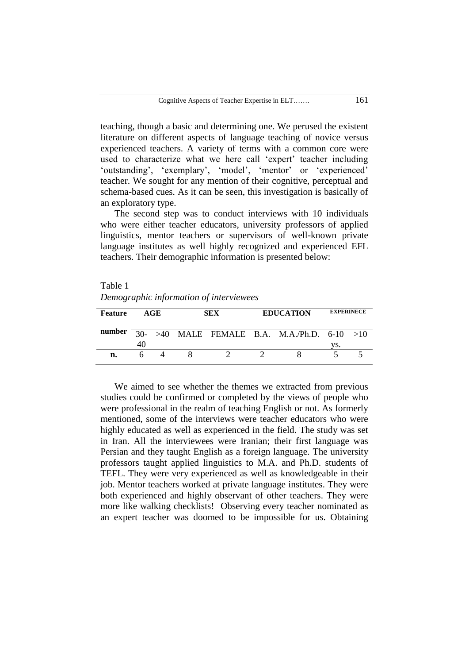teaching, though a basic and determining one. We perused the existent literature on different aspects of language teaching of novice versus experienced teachers. A variety of terms with a common core were used to characterize what we here call 'expert' teacher including 'outstanding', 'exemplary', 'model', 'mentor' or 'experienced' teacher. We sought for any mention of their cognitive, perceptual and schema-based cues. As it can be seen, this investigation is basically of an exploratory type.

The second step was to conduct interviews with 10 individuals who were either teacher educators, university professors of applied linguistics, mentor teachers or supervisors of well-known private language institutes as well highly recognized and experienced EFL teachers. Their demographic information is presented below:

Table 1

*Demographic information of interviewees*

| <b>Feature</b> | AGE |  | <b>SEX</b> |  | <b>EDUCATION</b> |                                              | <b>EXPERINECE</b> |  |
|----------------|-----|--|------------|--|------------------|----------------------------------------------|-------------------|--|
| number         |     |  |            |  |                  | 30- >40 MALE FEMALE B.A. M.A./Ph.D. 6-10 >10 |                   |  |
|                | 40  |  |            |  |                  |                                              | VS.               |  |
| n.             |     |  |            |  |                  |                                              |                   |  |

We aimed to see whether the themes we extracted from previous studies could be confirmed or completed by the views of people who were professional in the realm of teaching English or not. As formerly mentioned, some of the interviews were teacher educators who were highly educated as well as experienced in the field. The study was set in Iran. All the interviewees were Iranian; their first language was Persian and they taught English as a foreign language. The university professors taught applied linguistics to M.A. and Ph.D. students of TEFL. They were very experienced as well as knowledgeable in their job. Mentor teachers worked at private language institutes. They were both experienced and highly observant of other teachers. They were more like walking checklists! Observing every teacher nominated as an expert teacher was doomed to be impossible for us. Obtaining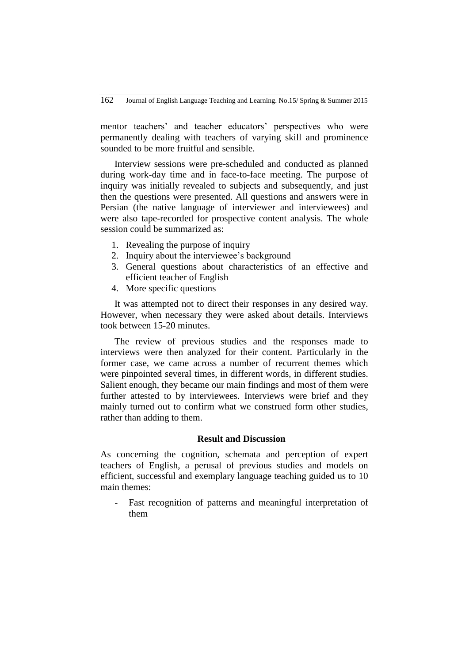mentor teachers' and teacher educators' perspectives who were permanently dealing with teachers of varying skill and prominence sounded to be more fruitful and sensible.

Interview sessions were pre-scheduled and conducted as planned during work-day time and in face-to-face meeting. The purpose of inquiry was initially revealed to subjects and subsequently, and just then the questions were presented. All questions and answers were in Persian (the native language of interviewer and interviewees) and were also tape-recorded for prospective content analysis. The whole session could be summarized as:

- 1. Revealing the purpose of inquiry
- 2. Inquiry about the interviewee"s background
- 3. General questions about characteristics of an effective and efficient teacher of English
- 4. More specific questions

It was attempted not to direct their responses in any desired way. However, when necessary they were asked about details. Interviews took between 15-20 minutes.

The review of previous studies and the responses made to interviews were then analyzed for their content. Particularly in the former case, we came across a number of recurrent themes which were pinpointed several times, in different words, in different studies. Salient enough, they became our main findings and most of them were further attested to by interviewees. Interviews were brief and they mainly turned out to confirm what we construed form other studies, rather than adding to them.

### **Result and Discussion**

As concerning the cognition, schemata and perception of expert teachers of English, a perusal of previous studies and models on efficient, successful and exemplary language teaching guided us to 10 main themes:

Fast recognition of patterns and meaningful interpretation of them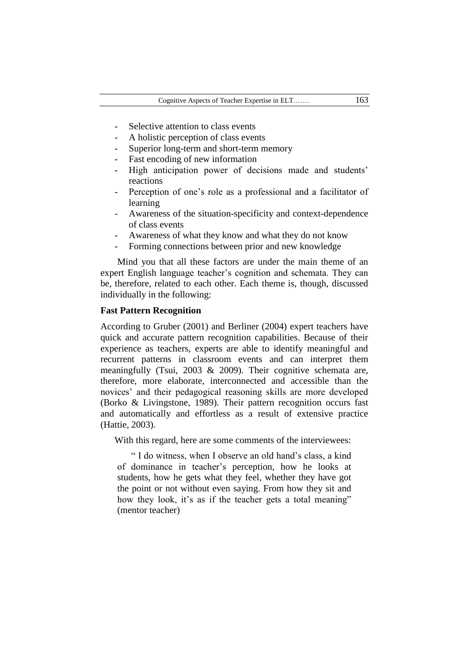- Selective attention to class events
- A holistic perception of class events
- Superior long-term and short-term memory
- Fast encoding of new information
- High anticipation power of decisions made and students' reactions
- Perception of one's role as a professional and a facilitator of learning
- Awareness of the situation-specificity and context-dependence of class events
- Awareness of what they know and what they do not know
- Forming connections between prior and new knowledge

Mind you that all these factors are under the main theme of an expert English language teacher's cognition and schemata. They can be, therefore, related to each other. Each theme is, though, discussed individually in the following:

### **Fast Pattern Recognition**

According to Gruber (2001) and Berliner (2004) expert teachers have quick and accurate pattern recognition capabilities. Because of their experience as teachers, experts are able to identify meaningful and recurrent patterns in classroom events and can interpret them meaningfully (Tsui, 2003 & 2009). Their cognitive schemata are, therefore, more elaborate, interconnected and accessible than the novices" and their pedagogical reasoning skills are more developed (Borko & Livingstone, 1989). Their pattern recognition occurs fast and automatically and effortless as a result of extensive practice (Hattie, 2003).

With this regard, here are some comments of the interviewees:

" I do witness, when I observe an old hand"s class, a kind of dominance in teacher"s perception, how he looks at students, how he gets what they feel, whether they have got the point or not without even saying. From how they sit and how they look, it's as if the teacher gets a total meaning" (mentor teacher)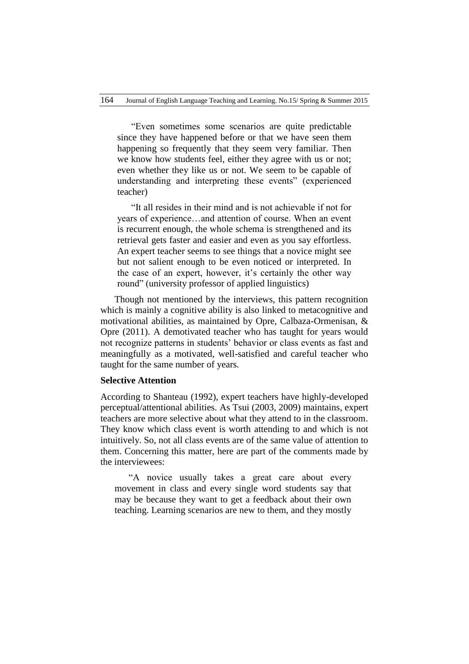"Even sometimes some scenarios are quite predictable since they have happened before or that we have seen them happening so frequently that they seem very familiar. Then we know how students feel, either they agree with us or not; even whether they like us or not. We seem to be capable of understanding and interpreting these events" (experienced teacher)

"It all resides in their mind and is not achievable if not for years of experience…and attention of course. When an event is recurrent enough, the whole schema is strengthened and its retrieval gets faster and easier and even as you say effortless. An expert teacher seems to see things that a novice might see but not salient enough to be even noticed or interpreted. In the case of an expert, however, it's certainly the other way round" (university professor of applied linguistics)

Though not mentioned by the interviews, this pattern recognition which is mainly a cognitive ability is also linked to metacognitive and motivational abilities, as maintained by Opre, Calbaza-Ormenisan, & Opre (2011). A demotivated teacher who has taught for years would not recognize patterns in students" behavior or class events as fast and meaningfully as a motivated, well-satisfied and careful teacher who taught for the same number of years.

### **Selective Attention**

According to Shanteau (1992), expert teachers have highly-developed perceptual/attentional abilities. As Tsui (2003, 2009) maintains, expert teachers are more selective about what they attend to in the classroom. They know which class event is worth attending to and which is not intuitively. So, not all class events are of the same value of attention to them. Concerning this matter, here are part of the comments made by the interviewees:

"A novice usually takes a great care about every movement in class and every single word students say that may be because they want to get a feedback about their own teaching. Learning scenarios are new to them, and they mostly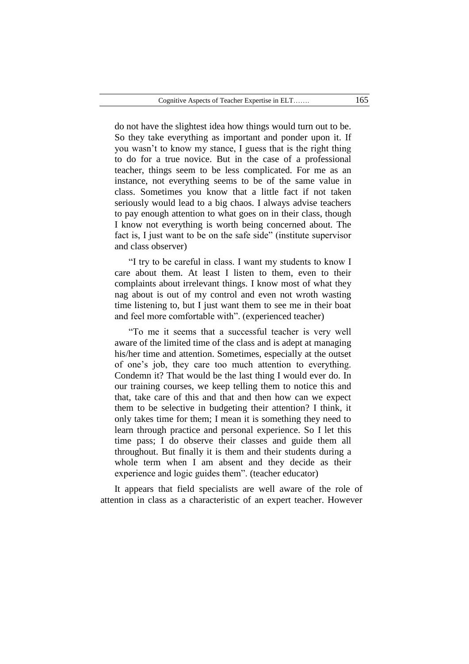do not have the slightest idea how things would turn out to be. So they take everything as important and ponder upon it. If you wasn"t to know my stance, I guess that is the right thing to do for a true novice. But in the case of a professional teacher, things seem to be less complicated. For me as an instance, not everything seems to be of the same value in class. Sometimes you know that a little fact if not taken seriously would lead to a big chaos. I always advise teachers to pay enough attention to what goes on in their class, though I know not everything is worth being concerned about. The fact is, I just want to be on the safe side" (institute supervisor and class observer)

"I try to be careful in class. I want my students to know I care about them. At least I listen to them, even to their complaints about irrelevant things. I know most of what they nag about is out of my control and even not wroth wasting time listening to, but I just want them to see me in their boat and feel more comfortable with". (experienced teacher)

"To me it seems that a successful teacher is very well aware of the limited time of the class and is adept at managing his/her time and attention. Sometimes, especially at the outset of one"s job, they care too much attention to everything. Condemn it? That would be the last thing I would ever do. In our training courses, we keep telling them to notice this and that, take care of this and that and then how can we expect them to be selective in budgeting their attention? I think, it only takes time for them; I mean it is something they need to learn through practice and personal experience. So I let this time pass; I do observe their classes and guide them all throughout. But finally it is them and their students during a whole term when I am absent and they decide as their experience and logic guides them". (teacher educator)

It appears that field specialists are well aware of the role of attention in class as a characteristic of an expert teacher. However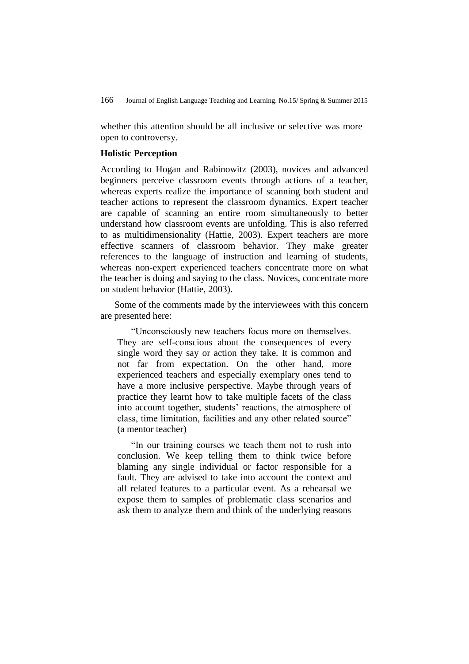whether this attention should be all inclusive or selective was more open to controversy.

### **Holistic Perception**

According to Hogan and Rabinowitz (2003), novices and advanced beginners perceive classroom events through actions of a teacher, whereas experts realize the importance of scanning both student and teacher actions to represent the classroom dynamics. Expert teacher are capable of scanning an entire room simultaneously to better understand how classroom events are unfolding. This is also referred to as multidimensionality (Hattie, 2003). Expert teachers are more effective scanners of classroom behavior. They make greater references to the language of instruction and learning of students, whereas non-expert experienced teachers concentrate more on what the teacher is doing and saying to the class. Novices, concentrate more on student behavior (Hattie, 2003).

Some of the comments made by the interviewees with this concern are presented here:

"Unconsciously new teachers focus more on themselves. They are self-conscious about the consequences of every single word they say or action they take. It is common and not far from expectation. On the other hand, more experienced teachers and especially exemplary ones tend to have a more inclusive perspective. Maybe through years of practice they learnt how to take multiple facets of the class into account together, students' reactions, the atmosphere of class, time limitation, facilities and any other related source" (a mentor teacher)

"In our training courses we teach them not to rush into conclusion. We keep telling them to think twice before blaming any single individual or factor responsible for a fault. They are advised to take into account the context and all related features to a particular event. As a rehearsal we expose them to samples of problematic class scenarios and ask them to analyze them and think of the underlying reasons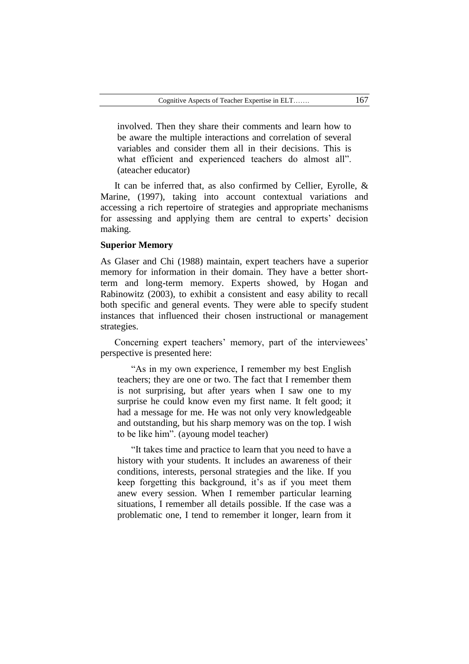involved. Then they share their comments and learn how to be aware the multiple interactions and correlation of several variables and consider them all in their decisions. This is what efficient and experienced teachers do almost all". (ateacher educator)

It can be inferred that, as also confirmed by Cellier, Eyrolle, & Marine, (1997), taking into account contextual variations and accessing a rich repertoire of strategies and appropriate mechanisms for assessing and applying them are central to experts' decision making.

### **Superior Memory**

As Glaser and Chi (1988) maintain, expert teachers have a superior memory for information in their domain. They have a better shortterm and long-term memory. Experts showed, by Hogan and Rabinowitz (2003), to exhibit a consistent and easy ability to recall both specific and general events. They were able to specify student instances that influenced their chosen instructional or management strategies.

Concerning expert teachers' memory, part of the interviewees' perspective is presented here:

"As in my own experience, I remember my best English teachers; they are one or two. The fact that I remember them is not surprising, but after years when I saw one to my surprise he could know even my first name. It felt good; it had a message for me. He was not only very knowledgeable and outstanding, but his sharp memory was on the top. I wish to be like him". (ayoung model teacher)

"It takes time and practice to learn that you need to have a history with your students. It includes an awareness of their conditions, interests, personal strategies and the like. If you keep forgetting this background, it"s as if you meet them anew every session. When I remember particular learning situations, I remember all details possible. If the case was a problematic one, I tend to remember it longer, learn from it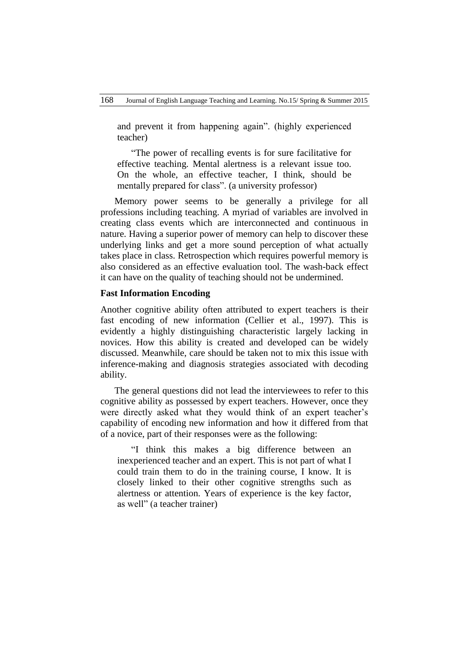and prevent it from happening again". (highly experienced teacher)

"The power of recalling events is for sure facilitative for effective teaching. Mental alertness is a relevant issue too. On the whole, an effective teacher, I think, should be mentally prepared for class". (a university professor)

Memory power seems to be generally a privilege for all professions including teaching. A myriad of variables are involved in creating class events which are interconnected and continuous in nature. Having a superior power of memory can help to discover these underlying links and get a more sound perception of what actually takes place in class. Retrospection which requires powerful memory is also considered as an effective evaluation tool. The wash-back effect it can have on the quality of teaching should not be undermined.

# **Fast Information Encoding**

Another cognitive ability often attributed to expert teachers is their fast encoding of new information (Cellier et al., 1997). This is evidently a highly distinguishing characteristic largely lacking in novices. How this ability is created and developed can be widely discussed. Meanwhile, care should be taken not to mix this issue with inference-making and diagnosis strategies associated with decoding ability.

The general questions did not lead the interviewees to refer to this cognitive ability as possessed by expert teachers. However, once they were directly asked what they would think of an expert teacher's capability of encoding new information and how it differed from that of a novice, part of their responses were as the following:

"I think this makes a big difference between an inexperienced teacher and an expert. This is not part of what I could train them to do in the training course, I know. It is closely linked to their other cognitive strengths such as alertness or attention. Years of experience is the key factor, as well" (a teacher trainer)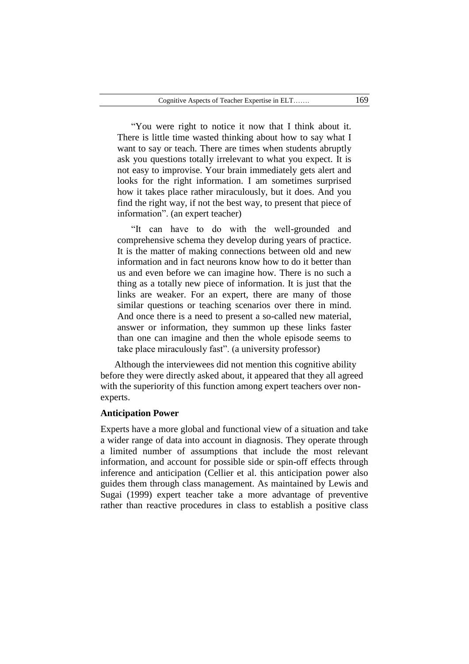"You were right to notice it now that I think about it. There is little time wasted thinking about how to say what I want to say or teach. There are times when students abruptly ask you questions totally irrelevant to what you expect. It is not easy to improvise. Your brain immediately gets alert and looks for the right information. I am sometimes surprised how it takes place rather miraculously, but it does. And you find the right way, if not the best way, to present that piece of information". (an expert teacher)

"It can have to do with the well-grounded and comprehensive schema they develop during years of practice. It is the matter of making connections between old and new information and in fact neurons know how to do it better than us and even before we can imagine how. There is no such a thing as a totally new piece of information. It is just that the links are weaker. For an expert, there are many of those similar questions or teaching scenarios over there in mind. And once there is a need to present a so-called new material, answer or information, they summon up these links faster than one can imagine and then the whole episode seems to take place miraculously fast". (a university professor)

Although the interviewees did not mention this cognitive ability before they were directly asked about, it appeared that they all agreed with the superiority of this function among expert teachers over nonexperts.

### **Anticipation Power**

Experts have a more global and functional view of a situation and take a wider range of data into account in diagnosis. They operate through a limited number of assumptions that include the most relevant information, and account for possible side or spin-off effects through inference and anticipation (Cellier et al. this anticipation power also guides them through class management. As maintained by Lewis and Sugai (1999) expert teacher take a more advantage of preventive rather than reactive procedures in class to establish a positive class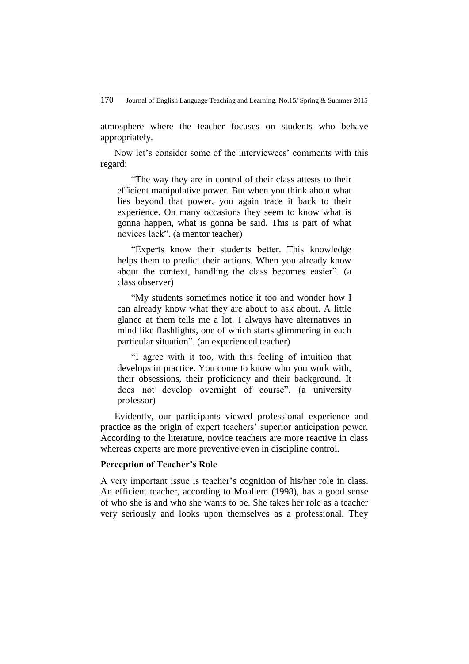atmosphere where the teacher focuses on students who behave appropriately.

Now let's consider some of the interviewees' comments with this regard:

"The way they are in control of their class attests to their efficient manipulative power. But when you think about what lies beyond that power, you again trace it back to their experience. On many occasions they seem to know what is gonna happen, what is gonna be said. This is part of what novices lack". (a mentor teacher)

"Experts know their students better. This knowledge helps them to predict their actions. When you already know about the context, handling the class becomes easier". (a class observer)

"My students sometimes notice it too and wonder how I can already know what they are about to ask about. A little glance at them tells me a lot. I always have alternatives in mind like flashlights, one of which starts glimmering in each particular situation". (an experienced teacher)

"I agree with it too, with this feeling of intuition that develops in practice. You come to know who you work with, their obsessions, their proficiency and their background. It does not develop overnight of course". (a university professor)

Evidently, our participants viewed professional experience and practice as the origin of expert teachers' superior anticipation power. According to the literature, novice teachers are more reactive in class whereas experts are more preventive even in discipline control.

#### **Perception of Teacher's Role**

A very important issue is teacher"s cognition of his/her role in class. An efficient teacher, according to Moallem (1998), has a good sense of who she is and who she wants to be. She takes her role as a teacher very seriously and looks upon themselves as a professional. They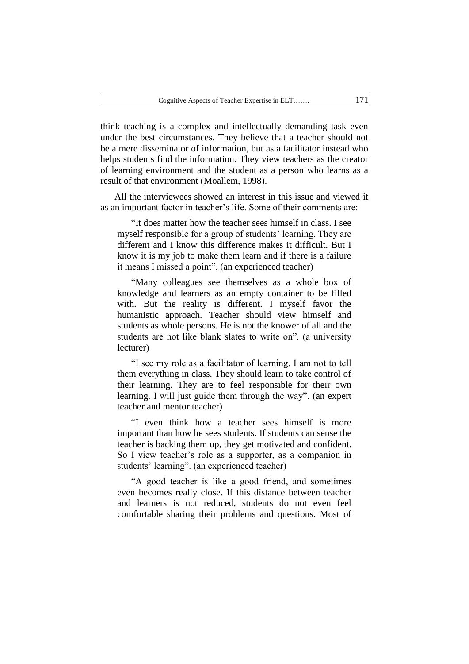think teaching is a complex and intellectually demanding task even under the best circumstances. They believe that a teacher should not be a mere disseminator of information, but as a facilitator instead who helps students find the information. They view teachers as the creator of learning environment and the student as a person who learns as a result of that environment (Moallem, 1998).

All the interviewees showed an interest in this issue and viewed it as an important factor in teacher"s life. Some of their comments are:

"It does matter how the teacher sees himself in class. I see myself responsible for a group of students' learning. They are different and I know this difference makes it difficult. But I know it is my job to make them learn and if there is a failure it means I missed a point". (an experienced teacher)

"Many colleagues see themselves as a whole box of knowledge and learners as an empty container to be filled with. But the reality is different. I myself favor the humanistic approach. Teacher should view himself and students as whole persons. He is not the knower of all and the students are not like blank slates to write on". (a university lecturer)

"I see my role as a facilitator of learning. I am not to tell them everything in class. They should learn to take control of their learning. They are to feel responsible for their own learning. I will just guide them through the way". (an expert teacher and mentor teacher)

"I even think how a teacher sees himself is more important than how he sees students. If students can sense the teacher is backing them up, they get motivated and confident. So I view teacher's role as a supporter, as a companion in students' learning". (an experienced teacher)

"A good teacher is like a good friend, and sometimes even becomes really close. If this distance between teacher and learners is not reduced, students do not even feel comfortable sharing their problems and questions. Most of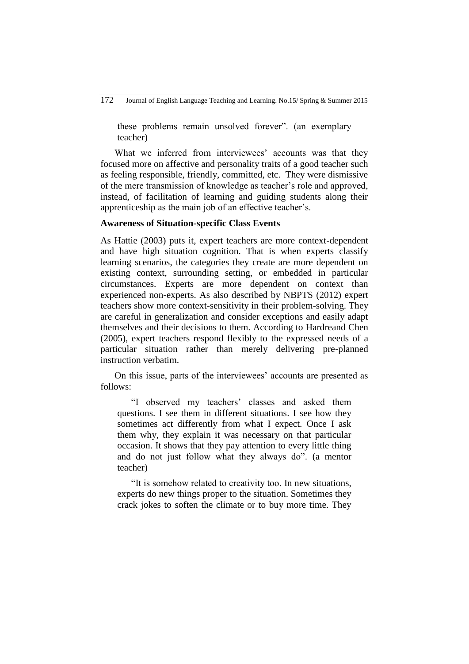these problems remain unsolved forever". (an exemplary teacher)

What we inferred from interviewees' accounts was that they focused more on affective and personality traits of a good teacher such as feeling responsible, friendly, committed, etc. They were dismissive of the mere transmission of knowledge as teacher"s role and approved, instead, of facilitation of learning and guiding students along their apprenticeship as the main job of an effective teacher"s.

# **Awareness of Situation-specific Class Events**

As Hattie (2003) puts it, expert teachers are more context-dependent and have high situation cognition. That is when experts classify learning scenarios, the categories they create are more dependent on existing context, surrounding setting, or embedded in particular circumstances. Experts are more dependent on context than experienced non-experts. As also described by NBPTS (2012) expert teachers show more context-sensitivity in their problem-solving. They are careful in generalization and consider exceptions and easily adapt themselves and their decisions to them. According to Hardreand Chen (2005), expert teachers respond flexibly to the expressed needs of a particular situation rather than merely delivering pre-planned instruction verbatim.

On this issue, parts of the interviewees' accounts are presented as follows:

"I observed my teachers" classes and asked them questions. I see them in different situations. I see how they sometimes act differently from what I expect. Once I ask them why, they explain it was necessary on that particular occasion. It shows that they pay attention to every little thing and do not just follow what they always do". (a mentor teacher)

"It is somehow related to creativity too. In new situations, experts do new things proper to the situation. Sometimes they crack jokes to soften the climate or to buy more time. They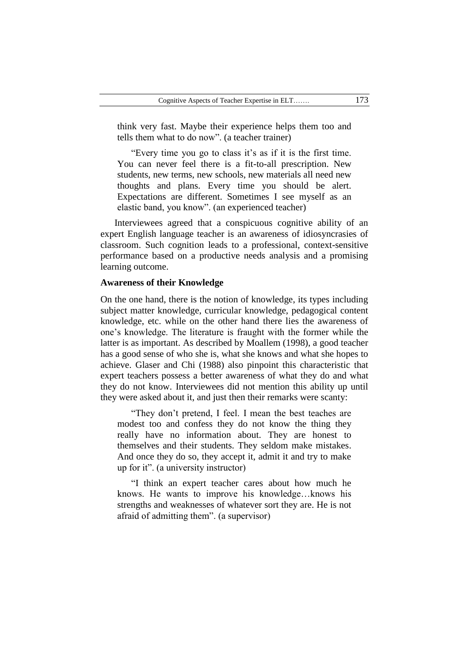think very fast. Maybe their experience helps them too and tells them what to do now". (a teacher trainer)

"Every time you go to class it's as if it is the first time. You can never feel there is a fit-to-all prescription. New students, new terms, new schools, new materials all need new thoughts and plans. Every time you should be alert. Expectations are different. Sometimes I see myself as an elastic band, you know". (an experienced teacher)

Interviewees agreed that a conspicuous cognitive ability of an expert English language teacher is an awareness of idiosyncrasies of classroom. Such cognition leads to a professional, context-sensitive performance based on a productive needs analysis and a promising learning outcome.

# **Awareness of their Knowledge**

On the one hand, there is the notion of knowledge, its types including subject matter knowledge, curricular knowledge, pedagogical content knowledge, etc. while on the other hand there lies the awareness of one"s knowledge. The literature is fraught with the former while the latter is as important. As described by Moallem (1998), a good teacher has a good sense of who she is, what she knows and what she hopes to achieve. Glaser and Chi (1988) also pinpoint this characteristic that expert teachers possess a better awareness of what they do and what they do not know. Interviewees did not mention this ability up until they were asked about it, and just then their remarks were scanty:

"They don"t pretend, I feel. I mean the best teaches are modest too and confess they do not know the thing they really have no information about. They are honest to themselves and their students. They seldom make mistakes. And once they do so, they accept it, admit it and try to make up for it". (a university instructor)

"I think an expert teacher cares about how much he knows. He wants to improve his knowledge…knows his strengths and weaknesses of whatever sort they are. He is not afraid of admitting them". (a supervisor)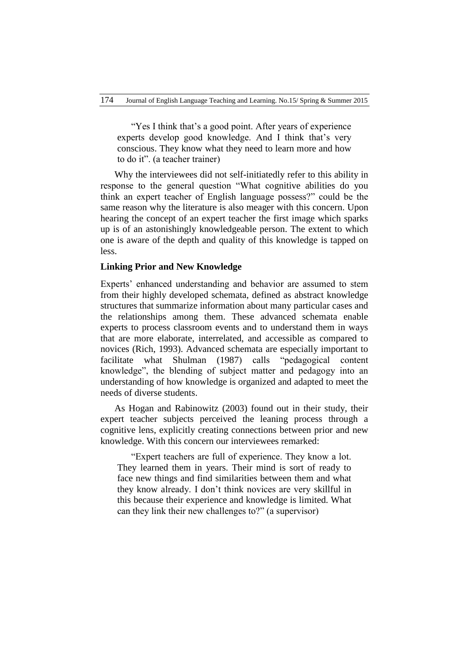"Yes I think that's a good point. After years of experience experts develop good knowledge. And I think that"s very conscious. They know what they need to learn more and how to do it". (a teacher trainer)

Why the interviewees did not self-initiatedly refer to this ability in response to the general question "What cognitive abilities do you think an expert teacher of English language possess?" could be the same reason why the literature is also meager with this concern. Upon hearing the concept of an expert teacher the first image which sparks up is of an astonishingly knowledgeable person. The extent to which one is aware of the depth and quality of this knowledge is tapped on less.

# **Linking Prior and New Knowledge**

Experts' enhanced understanding and behavior are assumed to stem from their highly developed schemata, defined as abstract knowledge structures that summarize information about many particular cases and the relationships among them. These advanced schemata enable experts to process classroom events and to understand them in ways that are more elaborate, interrelated, and accessible as compared to novices (Rich, 1993). Advanced schemata are especially important to facilitate what Shulman (1987) calls "pedagogical content knowledge", the blending of subject matter and pedagogy into an understanding of how knowledge is organized and adapted to meet the needs of diverse students.

As Hogan and Rabinowitz (2003) found out in their study, their expert teacher subjects perceived the leaning process through a cognitive lens, explicitly creating connections between prior and new knowledge. With this concern our interviewees remarked:

"Expert teachers are full of experience. They know a lot. They learned them in years. Their mind is sort of ready to face new things and find similarities between them and what they know already. I don"t think novices are very skillful in this because their experience and knowledge is limited. What can they link their new challenges to?" (a supervisor)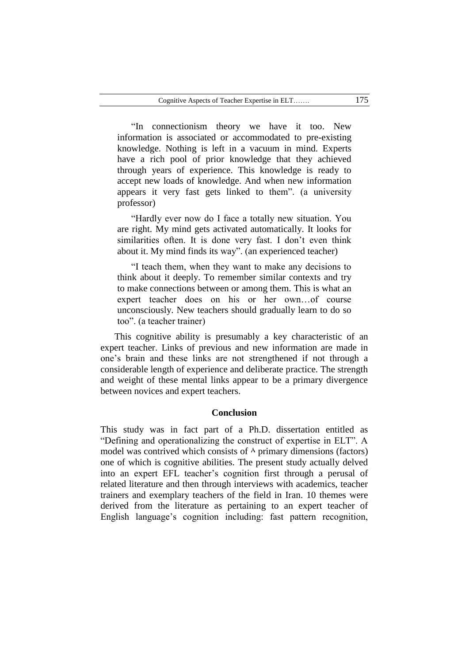"In connectionism theory we have it too. New information is associated or accommodated to pre-existing knowledge. Nothing is left in a vacuum in mind. Experts have a rich pool of prior knowledge that they achieved through years of experience. This knowledge is ready to accept new loads of knowledge. And when new information appears it very fast gets linked to them". (a university professor)

"Hardly ever now do I face a totally new situation. You are right. My mind gets activated automatically. It looks for similarities often. It is done very fast. I don"t even think about it. My mind finds its way". (an experienced teacher)

"I teach them, when they want to make any decisions to think about it deeply. To remember similar contexts and try to make connections between or among them. This is what an expert teacher does on his or her own…of course unconsciously. New teachers should gradually learn to do so too". (a teacher trainer)

This cognitive ability is presumably a key characteristic of an expert teacher. Links of previous and new information are made in one"s brain and these links are not strengthened if not through a considerable length of experience and deliberate practice. The strength and weight of these mental links appear to be a primary divergence between novices and expert teachers.

# **Conclusion**

This study was in fact part of a Ph.D. dissertation entitled as "Defining and operationalizing the construct of expertise in ELT". A model was contrived which consists of  $\land$  primary dimensions (factors) one of which is cognitive abilities. The present study actually delved into an expert EFL teacher"s cognition first through a perusal of related literature and then through interviews with academics, teacher trainers and exemplary teachers of the field in Iran. 10 themes were derived from the literature as pertaining to an expert teacher of English language"s cognition including: fast pattern recognition,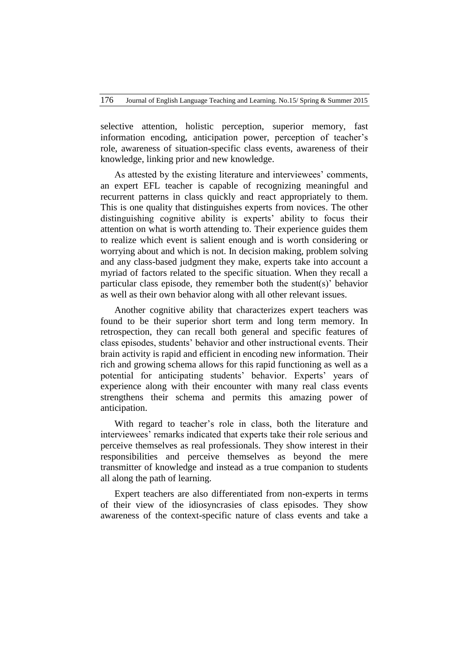selective attention, holistic perception, superior memory, fast information encoding, anticipation power, perception of teacher"s role, awareness of situation-specific class events, awareness of their knowledge, linking prior and new knowledge.

As attested by the existing literature and interviewees' comments, an expert EFL teacher is capable of recognizing meaningful and recurrent patterns in class quickly and react appropriately to them. This is one quality that distinguishes experts from novices. The other distinguishing cognitive ability is experts' ability to focus their attention on what is worth attending to. Their experience guides them to realize which event is salient enough and is worth considering or worrying about and which is not. In decision making, problem solving and any class-based judgment they make, experts take into account a myriad of factors related to the specific situation. When they recall a particular class episode, they remember both the student(s)" behavior as well as their own behavior along with all other relevant issues.

Another cognitive ability that characterizes expert teachers was found to be their superior short term and long term memory. In retrospection, they can recall both general and specific features of class episodes, students" behavior and other instructional events. Their brain activity is rapid and efficient in encoding new information. Their rich and growing schema allows for this rapid functioning as well as a potential for anticipating students' behavior. Experts' years of experience along with their encounter with many real class events strengthens their schema and permits this amazing power of anticipation.

With regard to teacher"s role in class, both the literature and interviewees' remarks indicated that experts take their role serious and perceive themselves as real professionals. They show interest in their responsibilities and perceive themselves as beyond the mere transmitter of knowledge and instead as a true companion to students all along the path of learning.

Expert teachers are also differentiated from non-experts in terms of their view of the idiosyncrasies of class episodes. They show awareness of the context-specific nature of class events and take a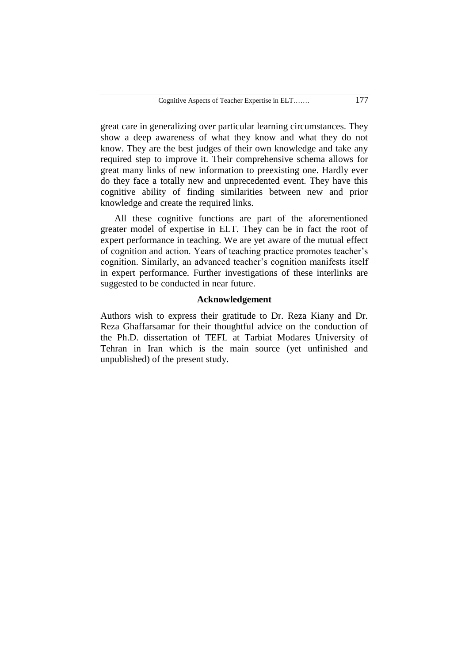great care in generalizing over particular learning circumstances. They show a deep awareness of what they know and what they do not know. They are the best judges of their own knowledge and take any required step to improve it. Their comprehensive schema allows for great many links of new information to preexisting one. Hardly ever do they face a totally new and unprecedented event. They have this cognitive ability of finding similarities between new and prior knowledge and create the required links.

All these cognitive functions are part of the aforementioned greater model of expertise in ELT. They can be in fact the root of expert performance in teaching. We are yet aware of the mutual effect of cognition and action. Years of teaching practice promotes teacher"s cognition. Similarly, an advanced teacher's cognition manifests itself in expert performance. Further investigations of these interlinks are suggested to be conducted in near future.

### **Acknowledgement**

Authors wish to express their gratitude to Dr. Reza Kiany and Dr. Reza Ghaffarsamar for their thoughtful advice on the conduction of the Ph.D. dissertation of TEFL at Tarbiat Modares University of Tehran in Iran which is the main source (yet unfinished and unpublished) of the present study.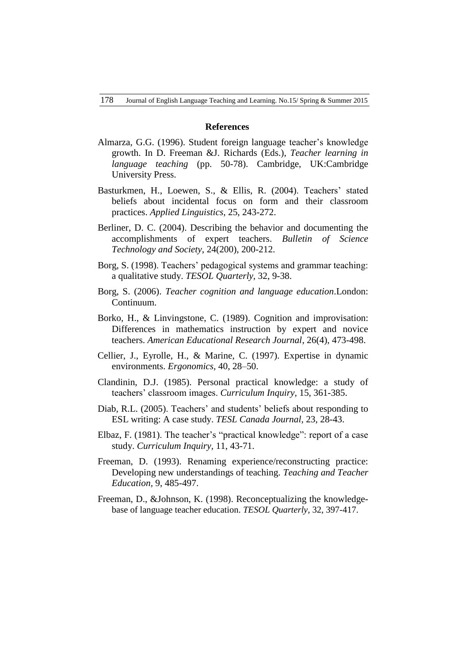#### **References**

- Almarza, G.G. (1996). Student foreign language teacher's knowledge growth. In D. Freeman &J. Richards (Eds.), *Teacher learning in language teaching* (pp. 50-78). Cambridge, UK:Cambridge University Press.
- Basturkmen, H., Loewen, S., & Ellis, R. (2004). Teachers' stated beliefs about incidental focus on form and their classroom practices. *Applied Linguistics,* 25, 243-272.
- Berliner, D. C. (2004). Describing the behavior and documenting the accomplishments of expert teachers. *Bulletin of Science Technology and Society*, 24(200), 200-212.
- Borg, S. (1998). Teachers' pedagogical systems and grammar teaching: a qualitative study. *TESOL Quarterly,* 32, 9-38.
- Borg, S. (2006). *Teacher cognition and language education*.London: Continuum.
- Borko, H., & Linvingstone, C. (1989). Cognition and improvisation: Differences in mathematics instruction by expert and novice teachers. *American Educational Research Journal*, 26(4), 473-498.
- Cellier, J., Eyrolle, H., & Marine, C. (1997). Expertise in dynamic environments. *Ergonomics,* 40, 28–50.
- Clandinin, D.J. (1985). Personal practical knowledge: a study of teachers" classroom images. *Curriculum Inquiry,* 15, 361-385.
- Diab, R.L. (2005). Teachers' and students' beliefs about responding to ESL writing: A case study. *TESL Canada Journal,* 23, 28-43.
- Elbaz, F. (1981). The teacher's "practical knowledge": report of a case study. *Curriculum Inquiry,* 11, 43-71.
- Freeman, D. (1993). Renaming experience/reconstructing practice: Developing new understandings of teaching. *Teaching and Teacher Education,* 9, 485-497.
- Freeman, D., &Johnson, K. (1998). Reconceptualizing the knowledgebase of language teacher education. *TESOL Quarterly,* 32, 397-417.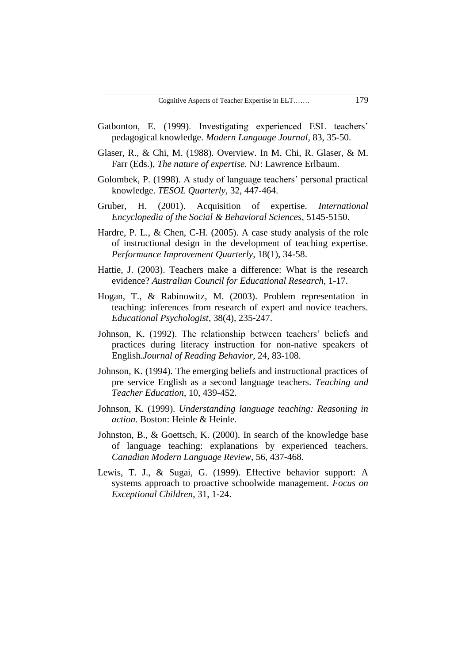- Gatbonton, E. (1999). Investigating experienced ESL teachers' pedagogical knowledge. *Modern Language Journal,* 83, 35-50.
- Glaser, R., & Chi, M. (1988). Overview. In M. Chi, R. Glaser, & M. Farr (Eds.), *The nature of expertise.* NJ: Lawrence Erlbaum.
- Golombek, P. (1998). A study of language teachers' personal practical knowledge. *TESOL Quarterly,* 32, 447-464.
- Gruber, H. (2001). Acquisition of expertise. *International Encyclopedia of the Social & Behavioral Sciences*, 5145-5150.
- Hardre, P. L., & Chen, C-H. (2005). A case study analysis of the role of instructional design in the development of teaching expertise. *Performance Improvement Quarterly,* 18(1), 34-58.
- Hattie, J. (2003). Teachers make a difference: What is the research evidence? *Australian Council for Educational Research,* 1-17.
- Hogan, T., & Rabinowitz, M. (2003). Problem representation in teaching: inferences from research of expert and novice teachers. *Educational Psychologist*, 38(4), 235-247.
- Johnson, K. (1992). The relationship between teachers" beliefs and practices during literacy instruction for non-native speakers of English.*Journal of Reading Behavior,* 24, 83-108.
- Johnson, K. (1994). The emerging beliefs and instructional practices of pre service English as a second language teachers. *Teaching and Teacher Education*, 10, 439-452.
- Johnson, K. (1999). *Understanding language teaching: Reasoning in action*. Boston: Heinle & Heinle.
- Johnston, B., & Goettsch, K. (2000). In search of the knowledge base of language teaching: explanations by experienced teachers. *Canadian Modern Language Review*, 56, 437-468.
- Lewis, T. J., & Sugai, G. (1999). Effective behavior support: A systems approach to proactive schoolwide management. *Focus on Exceptional Children*, 31, 1-24.